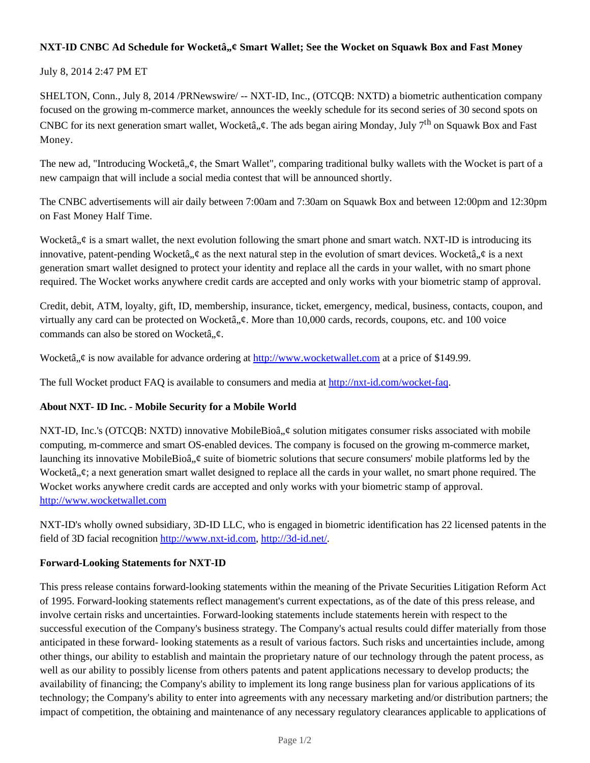## NXT-ID CNBC Ad Schedule for Wocketa<sup>2</sup>, we Smart Wallet; See the Wocket on Squawk Box and Fast Money

## July 8, 2014 2:47 PM ET

SHELTON, Conn., July 8, 2014 /PRNewswire/ -- NXT-ID, Inc., (OTCQB: NXTD) a biometric authentication company focused on the growing m-commerce market, announces the weekly schedule for its second series of 30 second spots on CNBC for its next generation smart wallet, Wocketâ,  $\phi$ . The ads began airing Monday, July 7<sup>th</sup> on Squawk Box and Fast Money.

The new ad, "Introducing Wocketâ,,¢, the Smart Wallet", comparing traditional bulky wallets with the Wocket is part of a new campaign that will include a social media contest that will be announced shortly.

The CNBC advertisements will air daily between 7:00am and 7:30am on Squawk Box and between 12:00pm and 12:30pm on Fast Money Half Time.

Wocketâ,  $\phi$  is a smart wallet, the next evolution following the smart phone and smart watch. NXT-ID is introducing its innovative, patent-pending Wocketâ,  $\phi$  as the next natural step in the evolution of smart devices. Wocketâ,  $\phi$  is a next generation smart wallet designed to protect your identity and replace all the cards in your wallet, with no smart phone required. The Wocket works anywhere credit cards are accepted and only works with your biometric stamp of approval.

Credit, debit, ATM, loyalty, gift, ID, membership, insurance, ticket, emergency, medical, business, contacts, coupon, and virtually any card can be protected on Wocketâ,  $\phi$ . More than 10,000 cards, records, coupons, etc. and 100 voice commands can also be stored on Wocketâ, $\phi$ .

Wocketâ, ¢ is now available for advance ordering at http://www.wocketwallet.com at a price of \$149.99.

The full Wocket product FAQ is available to consumers and media at http://nxt-id.com/wocket-faq.

# **About NXT- ID Inc. - Mobile Security for a Mobile World**

NXT-ID, Inc.'s (OTCQB: NXTD) innovative MobileBioâ,  $\phi$  solution mitigates consumer risks associated with mobile computing, m-commerce and smart OS-enabled devices. The company is focused on the growing m-commerce market, launching its innovative MobileBioâ,  $\phi$  suite of biometric solutions that secure consumers' mobile platforms led by the Wocketâ.. $\psi$ : a next generation smart wallet designed to replace all the cards in your wallet, no smart phone required. The Wocket works anywhere credit cards are accepted and only works with your biometric stamp of approval. http://www.wocketwallet.com

NXT-ID's wholly owned subsidiary, 3D-ID LLC, who is engaged in biometric identification has 22 licensed patents in the field of 3D facial recognition http://www.nxt-id.com, http://3d-id.net/.

#### **Forward-Looking Statements for NXT-ID**

This press release contains forward-looking statements within the meaning of the Private Securities Litigation Reform Act of 1995. Forward-looking statements reflect management's current expectations, as of the date of this press release, and involve certain risks and uncertainties. Forward-looking statements include statements herein with respect to the successful execution of the Company's business strategy. The Company's actual results could differ materially from those anticipated in these forward- looking statements as a result of various factors. Such risks and uncertainties include, among other things, our ability to establish and maintain the proprietary nature of our technology through the patent process, as well as our ability to possibly license from others patents and patent applications necessary to develop products; the availability of financing; the Company's ability to implement its long range business plan for various applications of its technology; the Company's ability to enter into agreements with any necessary marketing and/or distribution partners; the impact of competition, the obtaining and maintenance of any necessary regulatory clearances applicable to applications of